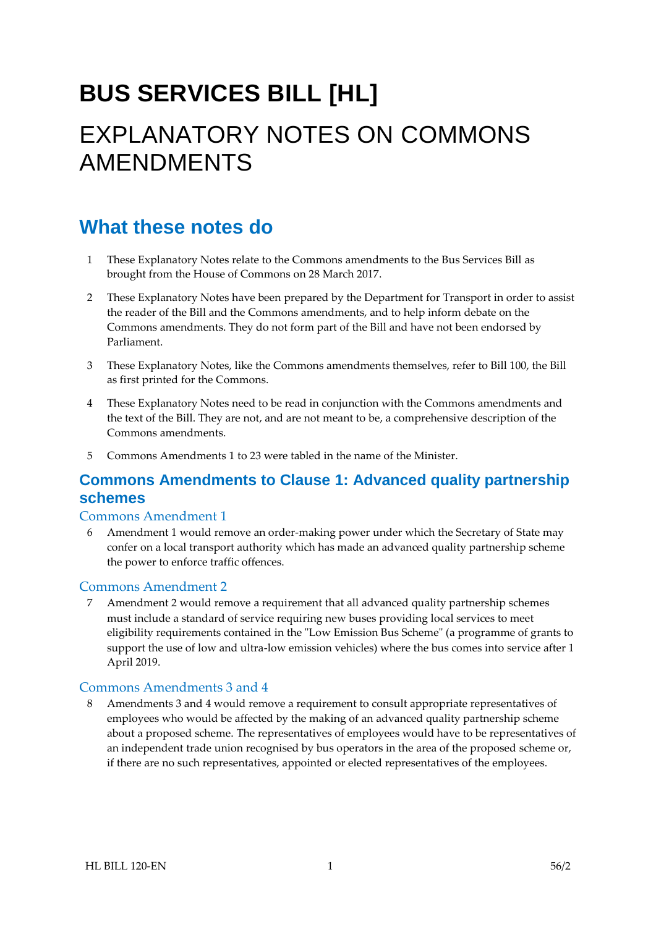# **BUS SERVICES BILL [HL]**  EXPLANATORY NOTES ON COMMONS AMENDMENTS

## **What these notes do**

- 1 These Explanatory Notes relate to the Commons amendments to the Bus Services Bill as brought from the House of Commons on 28 March 2017.
- 2 These Explanatory Notes have been prepared by the Department for Transport in order to assist the reader of the Bill and the Commons amendments, and to help inform debate on the Commons amendments. They do not form part of the Bill and have not been endorsed by Parliament.
- 3 These Explanatory Notes, like the Commons amendments themselves, refer to Bill 100, the Bill as first printed for the Commons.
- 4 These Explanatory Notes need to be read in conjunction with the Commons amendments and the text of the Bill. They are not, and are not meant to be, a comprehensive description of the Commons amendments.
- 5 Commons Amendments 1 to 23 were tabled in the name of the Minister.

## **Commons Amendments to Clause 1: Advanced quality partnership schemes**

#### Commons Amendment 1

6 Amendment 1 would remove an order-making power under which the Secretary of State may confer on a local transport authority which has made an advanced quality partnership scheme the power to enforce traffic offences.

#### Commons Amendment 2

7 Amendment 2 would remove a requirement that all advanced quality partnership schemes must include a standard of service requiring new buses providing local services to meet eligibility requirements contained in the "Low Emission Bus Scheme" (a programme of grants to support the use of low and ultra-low emission vehicles) where the bus comes into service after 1 April 2019.

#### Commons Amendments 3 and 4

8 Amendments 3 and 4 would remove a requirement to consult appropriate representatives of employees who would be affected by the making of an advanced quality partnership scheme about a proposed scheme. The representatives of employees would have to be representatives of an independent trade union recognised by bus operators in the area of the proposed scheme or, if there are no such representatives, appointed or elected representatives of the employees.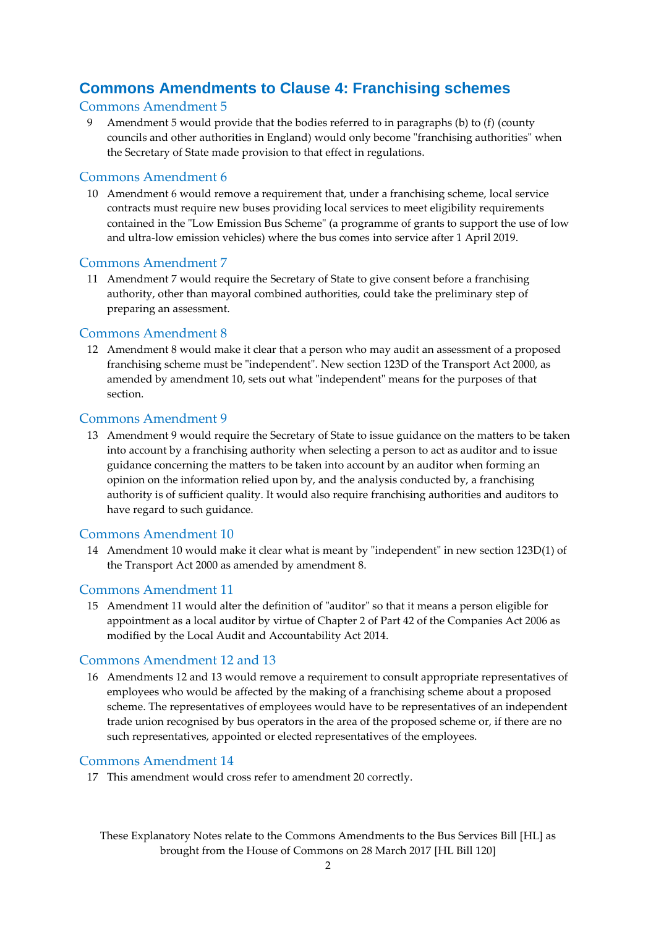## **Commons Amendments to Clause 4: Franchising schemes**

#### Commons Amendment 5

9 Amendment 5 would provide that the bodies referred to in paragraphs (b) to (f) (county councils and other authorities in England) would only become "franchising authorities" when the Secretary of State made provision to that effect in regulations.

#### Commons Amendment 6

10 Amendment 6 would remove a requirement that, under a franchising scheme, local service contracts must require new buses providing local services to meet eligibility requirements contained in the "Low Emission Bus Scheme" (a programme of grants to support the use of low and ultra-low emission vehicles) where the bus comes into service after 1 April 2019.

#### Commons Amendment 7

11 Amendment 7 would require the Secretary of State to give consent before a franchising authority, other than mayoral combined authorities, could take the preliminary step of preparing an assessment.

#### Commons Amendment 8

12 Amendment 8 would make it clear that a person who may audit an assessment of a proposed franchising scheme must be "independent". New section 123D of the Transport Act 2000, as amended by amendment 10, sets out what "independent" means for the purposes of that section.

#### Commons Amendment 9

13 Amendment 9 would require the Secretary of State to issue guidance on the matters to be taken into account by a franchising authority when selecting a person to act as auditor and to issue guidance concerning the matters to be taken into account by an auditor when forming an opinion on the information relied upon by, and the analysis conducted by, a franchising authority is of sufficient quality. It would also require franchising authorities and auditors to have regard to such guidance.

#### Commons Amendment 10

14 Amendment 10 would make it clear what is meant by "independent" in new section 123D(1) of the Transport Act 2000 as amended by amendment 8.

#### Commons Amendment 11

15 Amendment 11 would alter the definition of "auditor" so that it means a person eligible for appointment as a local auditor by virtue of Chapter 2 of Part 42 of the Companies Act 2006 as modified by the Local Audit and Accountability Act 2014.

#### Commons Amendment 12 and 13

16 Amendments 12 and 13 would remove a requirement to consult appropriate representatives of employees who would be affected by the making of a franchising scheme about a proposed scheme. The representatives of employees would have to be representatives of an independent trade union recognised by bus operators in the area of the proposed scheme or, if there are no such representatives, appointed or elected representatives of the employees.

#### Commons Amendment 14

17 This amendment would cross refer to amendment 20 correctly.

These Explanatory Notes relate to the Commons Amendments to the Bus Services Bill [HL] as brought from the House of Commons on 28 March 2017 [HL Bill 120]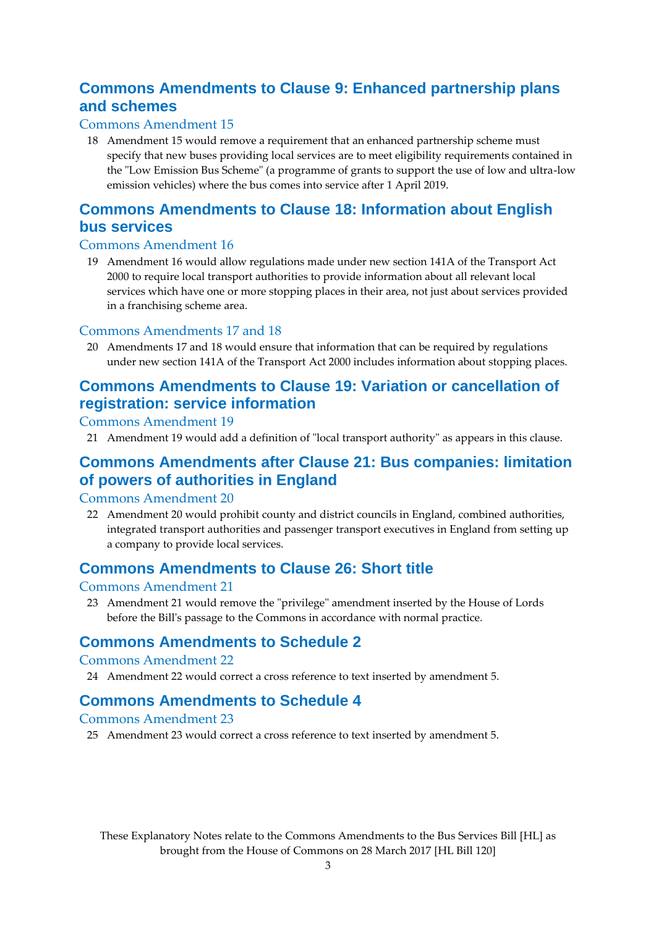## **Commons Amendments to Clause 9: Enhanced partnership plans and schemes**

#### Commons Amendment 15

18 Amendment 15 would remove a requirement that an enhanced partnership scheme must specify that new buses providing local services are to meet eligibility requirements contained in the "Low Emission Bus Scheme" (a programme of grants to support the use of low and ultra-low emission vehicles) where the bus comes into service after 1 April 2019.

## **Commons Amendments to Clause 18: Information about English bus services**

#### Commons Amendment 16

19 Amendment 16 would allow regulations made under new section 141A of the Transport Act 2000 to require local transport authorities to provide information about all relevant local services which have one or more stopping places in their area, not just about services provided in a franchising scheme area.

#### Commons Amendments 17 and 18

20 Amendments 17 and 18 would ensure that information that can be required by regulations under new section 141A of the Transport Act 2000 includes information about stopping places.

### **Commons Amendments to Clause 19: Variation or cancellation of registration: service information**

Commons Amendment 19

21 Amendment 19 would add a definition of "local transport authority" as appears in this clause.

## **Commons Amendments after Clause 21: Bus companies: limitation of powers of authorities in England**

#### Commons Amendment 20

22 Amendment 20 would prohibit county and district councils in England, combined authorities, integrated transport authorities and passenger transport executives in England from setting up a company to provide local services.

#### **Commons Amendments to Clause 26: Short title**

#### Commons Amendment 21

23 Amendment 21 would remove the "privilege" amendment inserted by the House of Lords before the Bill's passage to the Commons in accordance with normal practice.

## **Commons Amendments to Schedule 2**

#### Commons Amendment 22

24 Amendment 22 would correct a cross reference to text inserted by amendment 5.

#### **Commons Amendments to Schedule 4**

#### Commons Amendment 23

25 Amendment 23 would correct a cross reference to text inserted by amendment 5.

These Explanatory Notes relate to the Commons Amendments to the Bus Services Bill [HL] as brought from the House of Commons on 28 March 2017 [HL Bill 120]